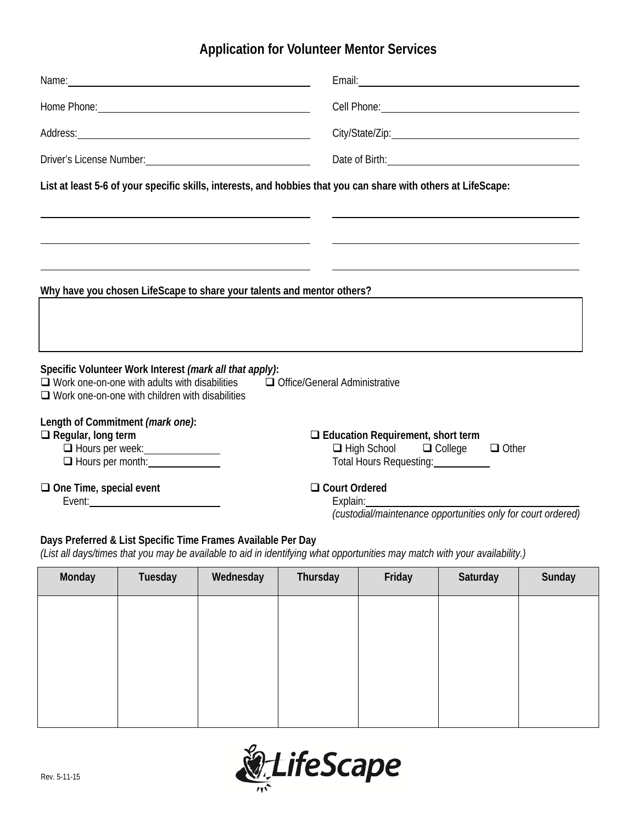# **Application for Volunteer Mentor Services**

| Driver's License Number: 2008 2010 2020 2021 2022 2023 2024 2022 2023 2024 2022 2023 2024 2022 2023 2024 2022                                                                                                                                                |                                                                                                                |                                                         |                                                                        | Date of Birth: <u>Containing</u> |          |        |
|--------------------------------------------------------------------------------------------------------------------------------------------------------------------------------------------------------------------------------------------------------------|----------------------------------------------------------------------------------------------------------------|---------------------------------------------------------|------------------------------------------------------------------------|----------------------------------|----------|--------|
| List at least 5-6 of your specific skills, interests, and hobbies that you can share with others at LifeScape:                                                                                                                                               |                                                                                                                |                                                         |                                                                        |                                  |          |        |
|                                                                                                                                                                                                                                                              |                                                                                                                |                                                         |                                                                        |                                  |          |        |
|                                                                                                                                                                                                                                                              |                                                                                                                |                                                         |                                                                        |                                  |          |        |
|                                                                                                                                                                                                                                                              |                                                                                                                |                                                         |                                                                        |                                  |          |        |
|                                                                                                                                                                                                                                                              |                                                                                                                |                                                         | Why have you chosen LifeScape to share your talents and mentor others? |                                  |          |        |
|                                                                                                                                                                                                                                                              |                                                                                                                |                                                         |                                                                        |                                  |          |        |
|                                                                                                                                                                                                                                                              |                                                                                                                |                                                         |                                                                        |                                  |          |        |
|                                                                                                                                                                                                                                                              | $\Box$ Work one-on-one with adults with disabilities<br>$\Box$ Work one-on-one with children with disabilities | Specific Volunteer Work Interest (mark all that apply): | Office/General Administrative                                          |                                  |          |        |
| Length of Commitment (mark one):<br>$\Box$ Regular, long term<br>$\Box$ Education Requirement, short term<br>□ Hours per week: _______________<br>$\Box$ High School $\Box$ College $\Box$ Other<br>□ Hours per month:<br>Total Hours Requesting: __________ |                                                                                                                |                                                         |                                                                        |                                  |          |        |
| $\Box$ One Time, special event<br>□ Court Ordered                                                                                                                                                                                                            |                                                                                                                |                                                         |                                                                        |                                  |          |        |
| Explain:<br>(custodial/maintenance opportunities only for court ordered)                                                                                                                                                                                     |                                                                                                                |                                                         |                                                                        |                                  |          |        |
| Days Preferred & List Specific Time Frames Available Per Day<br>(List all days/times that you may be available to aid in identifying what opportunities may match with your availability.)                                                                   |                                                                                                                |                                                         |                                                                        |                                  |          |        |
| Monday                                                                                                                                                                                                                                                       | Tuesday                                                                                                        | Wednesday                                               | Thursday                                                               | Friday                           | Saturday | Sunday |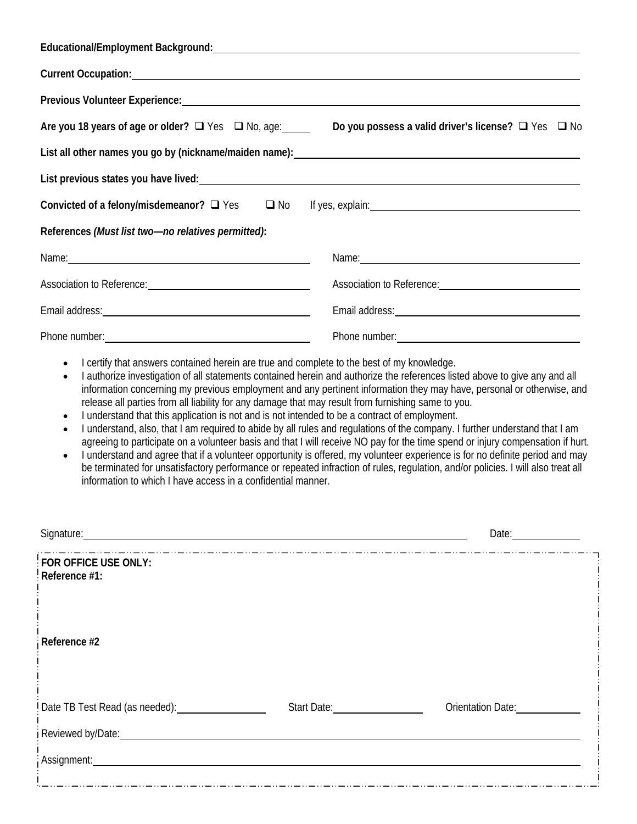| Educational/Employment Background: National Contract of the Contract of the Contract of the Contract of the Contract of the Contract of the Contract of the Contract of the Contract of the Contract of the Contract of the Co |                                                                                                                                                                                                                               |
|--------------------------------------------------------------------------------------------------------------------------------------------------------------------------------------------------------------------------------|-------------------------------------------------------------------------------------------------------------------------------------------------------------------------------------------------------------------------------|
|                                                                                                                                                                                                                                |                                                                                                                                                                                                                               |
| Previous Volunteer Experience: University of the Contract of the Contract of the Contract of the Contract of the Contract of the Contract of the Contract of the Contract of the Contract of the Contract of the Contract of t |                                                                                                                                                                                                                               |
|                                                                                                                                                                                                                                | Are you 18 years of age or older? ■ Yes ■ No, age: Do you possess a valid driver's license? ■ Yes ■ No                                                                                                                        |
| List all other names you go by (nickname/maiden name): List all other names were all the manner of the manner                                                                                                                  |                                                                                                                                                                                                                               |
| List previous states you have lived:<br><u>List</u> previous states you have lived:                                                                                                                                            |                                                                                                                                                                                                                               |
|                                                                                                                                                                                                                                | Convicted of a felony/misdemeanor? Q Yes Q No If yes, explain: Convicted of a felony/misdemeanor? Q Yes Q No If yes, explain:                                                                                                 |
| References (Must list two-no relatives permitted):                                                                                                                                                                             |                                                                                                                                                                                                                               |
|                                                                                                                                                                                                                                | Name: Name:                                                                                                                                                                                                                   |
| Association to Reference: Network and the material contract of the set of the set of the set of the set of the                                                                                                                 | Association to Reference: Network and the set of the set of the set of the set of the set of the set of the set of the set of the set of the set of the set of the set of the set of the set of the set of the set of the set |
|                                                                                                                                                                                                                                |                                                                                                                                                                                                                               |
|                                                                                                                                                                                                                                |                                                                                                                                                                                                                               |

- I certify that answers contained herein are true and complete to the best of my knowledge.
- I authorize investigation of all statements contained herein and authorize the references listed above to give any and all information concerning my previous employment and any pertinent information they may have, personal or otherwise, and release all parties from all liability for any damage that may result from furnishing same to you.
- I understand that this application is not and is not intended to be a contract of employment.
- I understand, also, that I am required to abide by all rules and regulations of the company. I further understand that I am agreeing to participate on a volunteer basis and that I will receive NO pay for the time spend or injury compensation if hurt.
- I understand and agree that if a volunteer opportunity is offered, my volunteer experience is for no definite period and may be terminated for unsatisfactory performance or repeated infraction of rules, regulation, and/or policies. I will also treat all information to which I have access in a confidential manner.

| Signature: Signature:                 |                             | Date: <u>________________</u> |
|---------------------------------------|-----------------------------|-------------------------------|
| FOR OFFICE USE ONLY:<br>Reference #1: |                             |                               |
| Reference #2                          |                             |                               |
| Date TB Test Read (as needed):        | Start Date: The Start Date: | Orientation Date:             |
| Assignment: Assignment:               |                             |                               |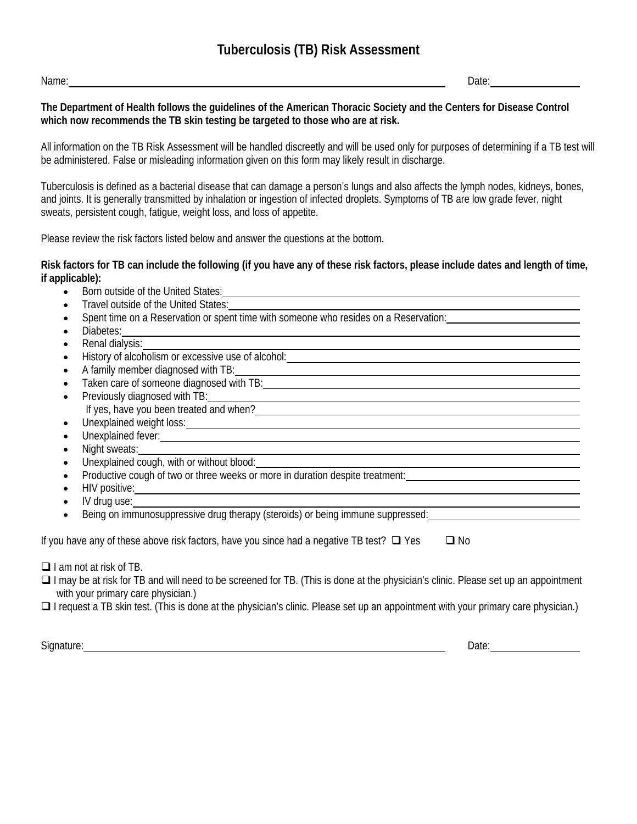Name: Date: Date:

**The Department of Health follows the guidelines of the American Thoracic Society and the Centers for Disease Control which now recommends the TB skin testing be targeted to those who are at risk.**

All information on the TB Risk Assessment will be handled discreetly and will be used only for purposes of determining if a TB test will be administered. False or misleading information given on this form may likely result in discharge.

Tuberculosis is defined as a bacterial disease that can damage a person's lungs and also affects the lymph nodes, kidneys, bones, and joints. It is generally transmitted by inhalation or ingestion of infected droplets. Symptoms of TB are low grade fever, night sweats, persistent cough, fatigue, weight loss, and loss of appetite.

Please review the risk factors listed below and answer the questions at the bottom.

#### **Risk factors for TB can include the following (if you have any of these risk factors, please include dates and length of time, if applicable):**

- Born outside of the United States: example and the United States:
- Travel outside of the United States:
- Spent time on a Reservation or spent time with someone who resides on a Reservation:
- Diabetes:
- Renal dialysis:
- History of alcoholism or excessive use of alcohol:<br>History of alcoholism or excessive use of alcohol:
- A family member diagnosed with TB:
- Taken care of someone diagnosed with TB:
- Previously diagnosed with TB: If yes, have you been treated and when?
- Unexplained weight loss:
- Unexplained fever: **Figure 1.0** Figure 1.0 Figure 1.0 Figure 1.0 Figure 1.0 Figure 1.0 Figure 1.0 Figure 1.0 Figure 1.0 Figure 1.0 Figure 1.0 Figure 1.0 Figure 1.0 Figure 1.0 Figure 1.0 Figure 1.0 Figure 1.0 Figure 1.0 F
- Night sweats:
- Unexplained cough, with or without blood:
- Productive cough of two or three weeks or more in duration despite treatment:
- HIV positive:
- IV drug use:
- Being on immunosuppressive drug therapy (steroids) or being immune suppressed:

 $\Box$  I am not at risk of TB.

- $\Box$  I may be at risk for TB and will need to be screened for TB. (This is done at the physician's clinic. Please set up an appointment with your primary care physician.)
- $\Box$  I request a TB skin test. (This is done at the physician's clinic. Please set up an appointment with your primary care physician.)

Signature: Date: Date: Date: Date: Date: Date: Date: Date: Date: Date: Date: Date: Date: Date: Date: Date: Date: Date: Date: Date: Date: Date: Date: Date: Date: Date: Date: Date: Date: Date: Date: Date: Date: Date: Date: D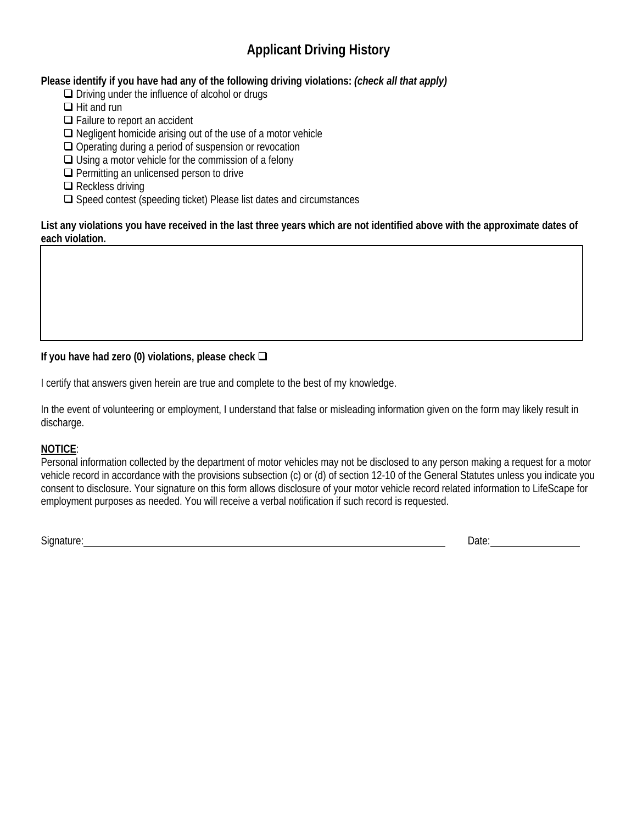# **Applicant Driving History**

### **Please identify if you have had any of the following driving violations:** *(check all that apply)*

 $\Box$  Driving under the influence of alcohol or drugs

- $\Box$  Hit and run
- $\Box$  Failure to report an accident
- $\Box$  Negligent homicide arising out of the use of a motor vehicle
- $\Box$  Operating during a period of suspension or revocation
- $\Box$  Using a motor vehicle for the commission of a felony
- $\Box$  Permitting an unlicensed person to drive
- $\Box$  Reckless driving
- $\Box$  Speed contest (speeding ticket) Please list dates and circumstances

**List any violations you have received in the last three years which are not identified above with the approximate dates of each violation.** 

### **If you have had zero (0) violations, please check**

I certify that answers given herein are true and complete to the best of my knowledge.

In the event of volunteering or employment, I understand that false or misleading information given on the form may likely result in discharge.

### **NOTICE**:

 $\overline{\phantom{a}}$ 

 $\overline{\phantom{a}}$ 

Personal information collected by the department of motor vehicles may not be disclosed to any person making a request for a motor vehicle record in accordance with the provisions subsection (c) or (d) of section 12-10 of the General Statutes unless you indicate you consent to disclosure. Your signature on this form allows disclosure of your motor vehicle record related information to LifeScape for employment purposes as needed. You will receive a verbal notification if such record is requested.

Signature: Date: Date: Date: Date: Date: Date: Date: Date: Date: Date: Date: Date: Date: Date: Date: Date: Date: Date: Date: Date: Date: Date: Date: Date: Date: Date: Date: Date: Date: Date: Date: Date: Date: Date: Date: D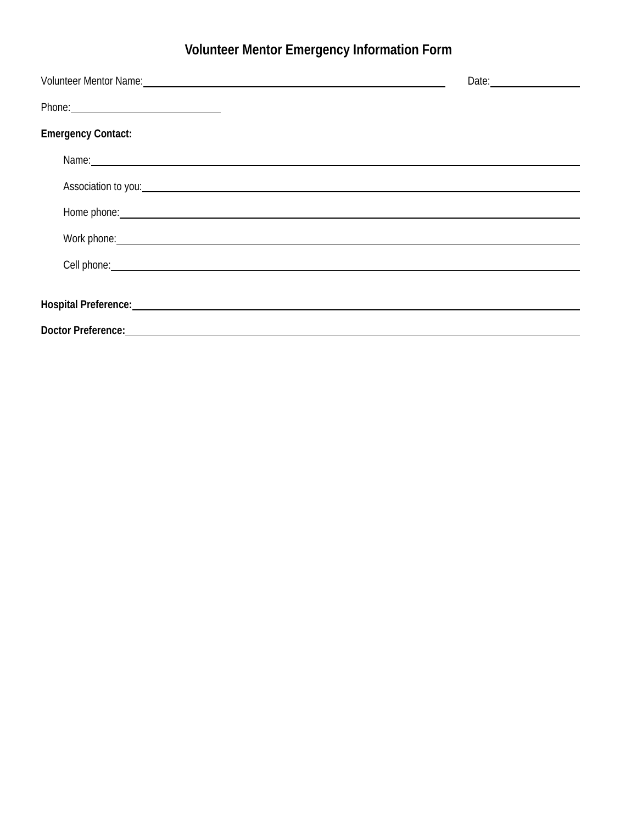# **Volunteer Mentor Emergency Information Form**

|                                                                                                                                                                                                                                      | Date: Date: |
|--------------------------------------------------------------------------------------------------------------------------------------------------------------------------------------------------------------------------------------|-------------|
| Phone: Note: 2008 and 2008 and 2008 and 2008 and 2008 and 2008 and 2008 and 2008 and 2008 and 2008 and 2008 and 2008 and 2008 and 2008 and 2008 and 2008 and 2008 and 2008 and 2008 and 2008 and 2008 and 2008 and 2008 and 20       |             |
| <b>Emergency Contact:</b>                                                                                                                                                                                                            |             |
| Name: Name: Name: Name: Name: Name: Name: Name: Name: Name: Name: Name: Name: Name: Name: Name: Name: Name: Name: Name: Name: Name: Name: Name: Name: Name: Name: Name: Name: Name: Name: Name: Name: Name: Name: Name: Name:        |             |
| Association to you: example and the set of the set of the set of the set of the set of the set of the set of the set of the set of the set of the set of the set of the set of the set of the set of the set of the set of the       |             |
| Home phone: <u>example and the second second second second second second second second second second second second second second second second second second second second second second second second second second second seco</u> |             |
| Work phone: Note that the contract of the contract of the contract of the contract of the contract of the contract of the contract of the contract of the contract of the contract of the contract of the contract of the cont       |             |
| Cell phone: <u>contract the contract of the contract of the contract of the contract of the contract of the contract of the contract of the contract of the contract of the contract of the contract of the contract of the cont</u> |             |
| Hospital Preference: New York Contract and Contract Contract of the Contract of the Contract of the Contract of                                                                                                                      |             |
|                                                                                                                                                                                                                                      |             |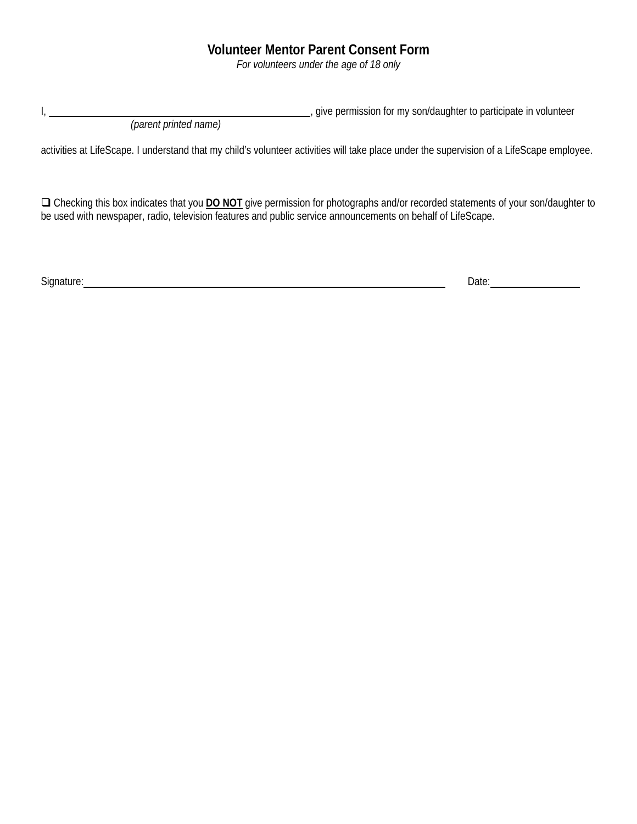### **Volunteer Mentor Parent Consent Form**

*For volunteers under the age of 18 only* 

I,  $\frac{1}{2}$  give permission for my son/daughter to participate in volunteer

 *(parent printed name)* 

activities at LifeScape. I understand that my child's volunteer activities will take place under the supervision of a LifeScape employee.

 Checking this box indicates that you **DO NOT** give permission for photographs and/or recorded statements of your son/daughter to be used with newspaper, radio, television features and public service announcements on behalf of LifeScape.

Signature: Date: Date: Date: Date: Date: Date: Date: Date: Date: Date: Date: Date: Date: Date: Date: Date: Date: Date: Date: Date: Date: Date: Date: Date: Date: Date: Date: Date: Date: Date: Date: Date: Date: Date: Date: D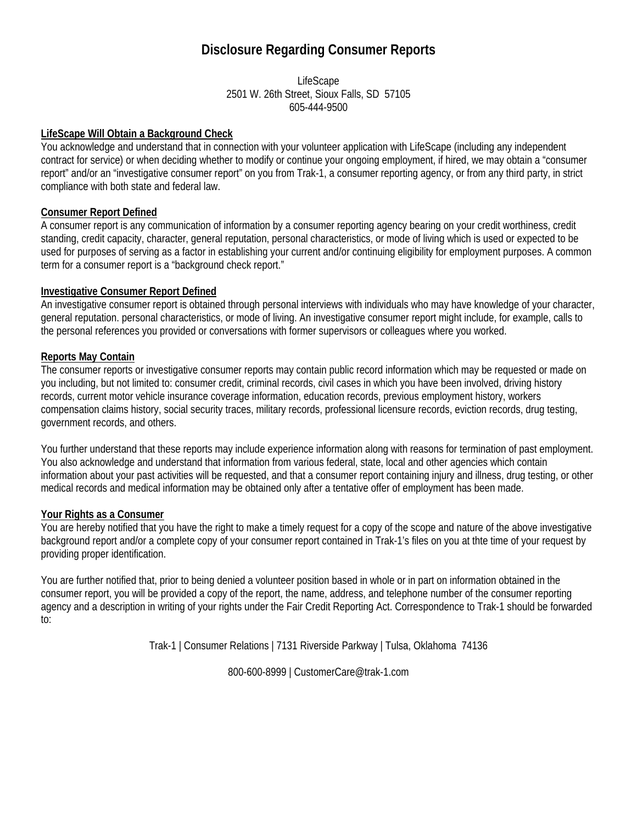## **Disclosure Regarding Consumer Reports**

LifeScape 2501 W. 26th Street, Sioux Falls, SD 57105 605-444-9500

### **LifeScape Will Obtain a Background Check**

You acknowledge and understand that in connection with your volunteer application with LifeScape (including any independent contract for service) or when deciding whether to modify or continue your ongoing employment, if hired, we may obtain a "consumer report" and/or an "investigative consumer report" on you from Trak-1, a consumer reporting agency, or from any third party, in strict compliance with both state and federal law.

### **Consumer Report Defined**

A consumer report is any communication of information by a consumer reporting agency bearing on your credit worthiness, credit standing, credit capacity, character, general reputation, personal characteristics, or mode of living which is used or expected to be used for purposes of serving as a factor in establishing your current and/or continuing eligibility for employment purposes. A common term for a consumer report is a "background check report."

### **Investigative Consumer Report Defined**

An investigative consumer report is obtained through personal interviews with individuals who may have knowledge of your character, general reputation. personal characteristics, or mode of living. An investigative consumer report might include, for example, calls to the personal references you provided or conversations with former supervisors or colleagues where you worked.

### **Reports May Contain**

The consumer reports or investigative consumer reports may contain public record information which may be requested or made on you including, but not limited to: consumer credit, criminal records, civil cases in which you have been involved, driving history records, current motor vehicle insurance coverage information, education records, previous employment history, workers compensation claims history, social security traces, military records, professional licensure records, eviction records, drug testing, government records, and others.

You further understand that these reports may include experience information along with reasons for termination of past employment. You also acknowledge and understand that information from various federal, state, local and other agencies which contain information about your past activities will be requested, and that a consumer report containing injury and illness, drug testing, or other medical records and medical information may be obtained only after a tentative offer of employment has been made.

#### **Your Rights as a Consumer**

You are hereby notified that you have the right to make a timely request for a copy of the scope and nature of the above investigative background report and/or a complete copy of your consumer report contained in Trak-1's files on you at thte time of your request by providing proper identification.

You are further notified that, prior to being denied a volunteer position based in whole or in part on information obtained in the consumer report, you will be provided a copy of the report, the name, address, and telephone number of the consumer reporting agency and a description in writing of your rights under the Fair Credit Reporting Act. Correspondence to Trak-1 should be forwarded to:

Trak-1 | Consumer Relations | 7131 Riverside Parkway | Tulsa, Oklahoma 74136

800-600-8999 | CustomerCare@trak-1.com